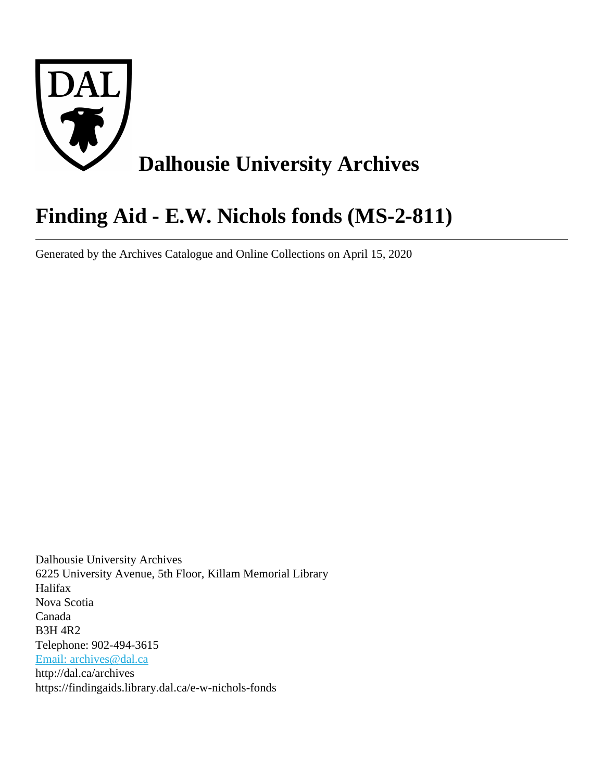

# **Finding Aid - E.W. Nichols fonds (MS-2-811)**

Generated by the Archives Catalogue and Online Collections on April 15, 2020

Dalhousie University Archives 6225 University Avenue, 5th Floor, Killam Memorial Library Halifax Nova Scotia Canada B3H 4R2 Telephone: 902-494-3615 [Email: archives@dal.ca](mailto:Email: archives@dal.ca) http://dal.ca/archives https://findingaids.library.dal.ca/e-w-nichols-fonds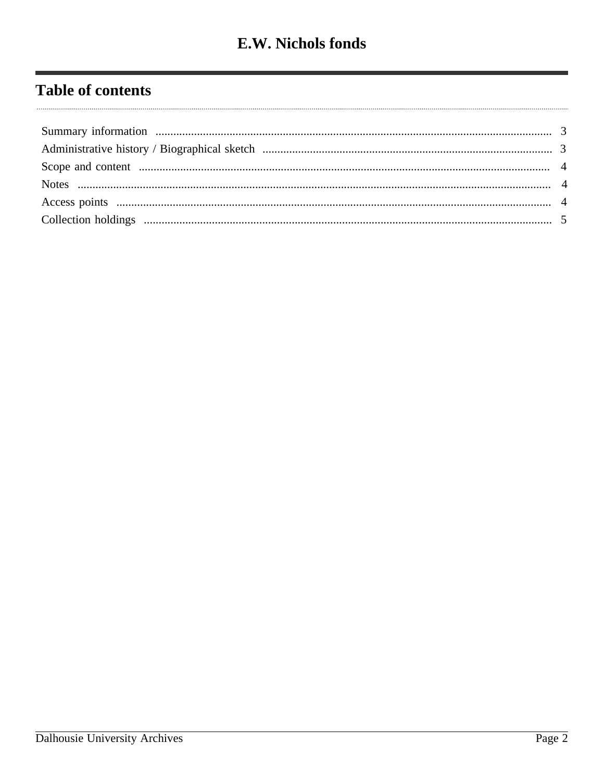# **Table of contents**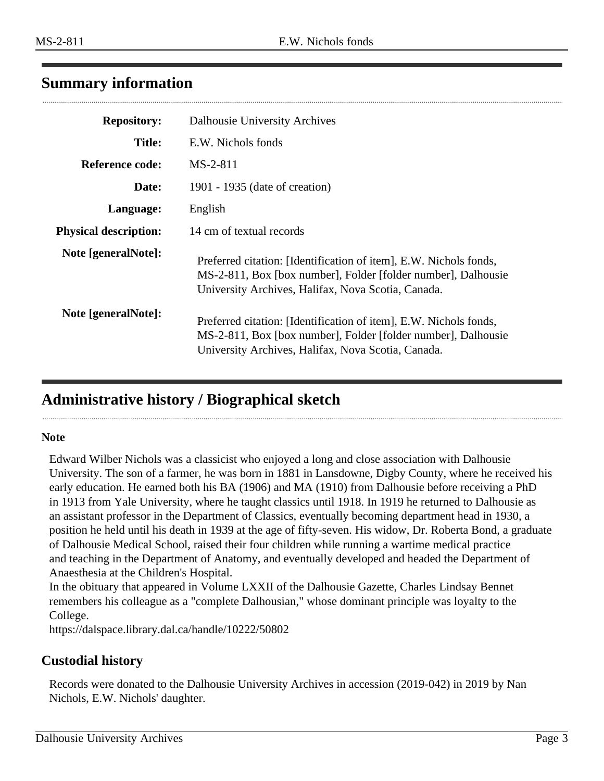## <span id="page-2-0"></span>**Summary information**

| <b>Repository:</b>           | Dalhousie University Archives                                                                                                                                                            |
|------------------------------|------------------------------------------------------------------------------------------------------------------------------------------------------------------------------------------|
| <b>Title:</b>                | E.W. Nichols fonds                                                                                                                                                                       |
| Reference code:              | MS-2-811                                                                                                                                                                                 |
| Date:                        | 1901 - 1935 (date of creation)                                                                                                                                                           |
| Language:                    | English                                                                                                                                                                                  |
| <b>Physical description:</b> | 14 cm of textual records                                                                                                                                                                 |
| Note [generalNote]:          | Preferred citation: [Identification of item], E.W. Nichols fonds,<br>MS-2-811, Box [box number], Folder [folder number], Dalhousie<br>University Archives, Halifax, Nova Scotia, Canada. |
| Note [generalNote]:          | Preferred citation: [Identification of item], E.W. Nichols fonds,<br>MS-2-811, Box [box number], Folder [folder number], Dalhousie<br>University Archives, Halifax, Nova Scotia, Canada. |

## <span id="page-2-1"></span>**Administrative history / Biographical sketch**

#### **Note**

Edward Wilber Nichols was a classicist who enjoyed a long and close association with Dalhousie University. The son of a farmer, he was born in 1881 in Lansdowne, Digby County, where he received his early education. He earned both his BA (1906) and MA (1910) from Dalhousie before receiving a PhD in 1913 from Yale University, where he taught classics until 1918. In 1919 he returned to Dalhousie as an assistant professor in the Department of Classics, eventually becoming department head in 1930, a position he held until his death in 1939 at the age of fifty-seven. His widow, Dr. Roberta Bond, a graduate of Dalhousie Medical School, raised their four children while running a wartime medical practice and teaching in the Department of Anatomy, and eventually developed and headed the Department of Anaesthesia at the Children's Hospital.

In the obituary that appeared in Volume LXXII of the Dalhousie Gazette, Charles Lindsay Bennet remembers his colleague as a "complete Dalhousian," whose dominant principle was loyalty to the College.

https://dalspace.library.dal.ca/handle/10222/50802

#### **Custodial history**

Records were donated to the Dalhousie University Archives in accession (2019-042) in 2019 by Nan Nichols, E.W. Nichols' daughter.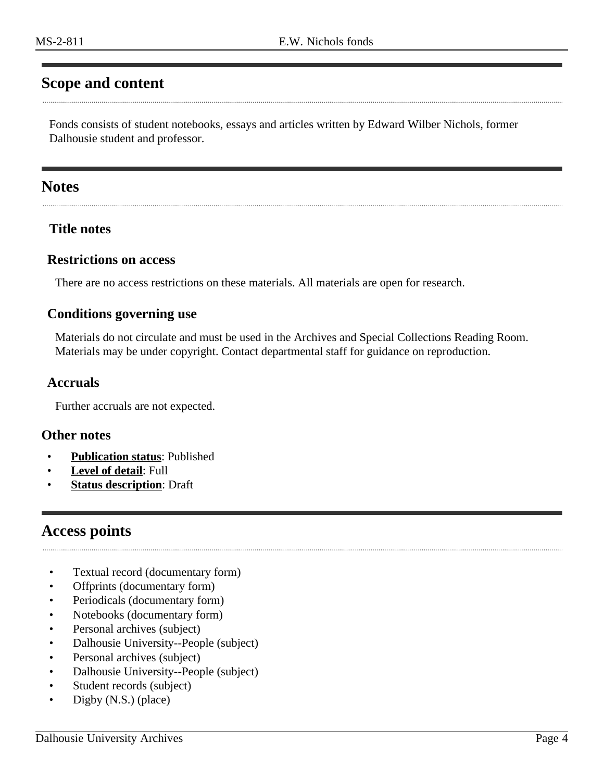# <span id="page-3-0"></span>**Scope and content**

Fonds consists of student notebooks, essays and articles written by Edward Wilber Nichols, former Dalhousie student and professor.

#### <span id="page-3-1"></span>**Notes**

#### **Title notes**

#### **Restrictions on access**

There are no access restrictions on these materials. All materials are open for research.

#### **Conditions governing use**

Materials do not circulate and must be used in the Archives and Special Collections Reading Room. Materials may be under copyright. Contact departmental staff for guidance on reproduction.

#### **Accruals**

Further accruals are not expected.

#### **Other notes**

- **Publication status**: Published
- Level of detail: Full
- **Status description: Draft**

#### <span id="page-3-2"></span>**Access points**

- Textual record (documentary form)
- Offprints (documentary form)
- Periodicals (documentary form)
- Notebooks (documentary form)
- Personal archives (subject)
- Dalhousie University--People (subject)
- Personal archives (subject)
- Dalhousie University--People (subject)
- Student records (subject)
- Digby (N.S.) (place)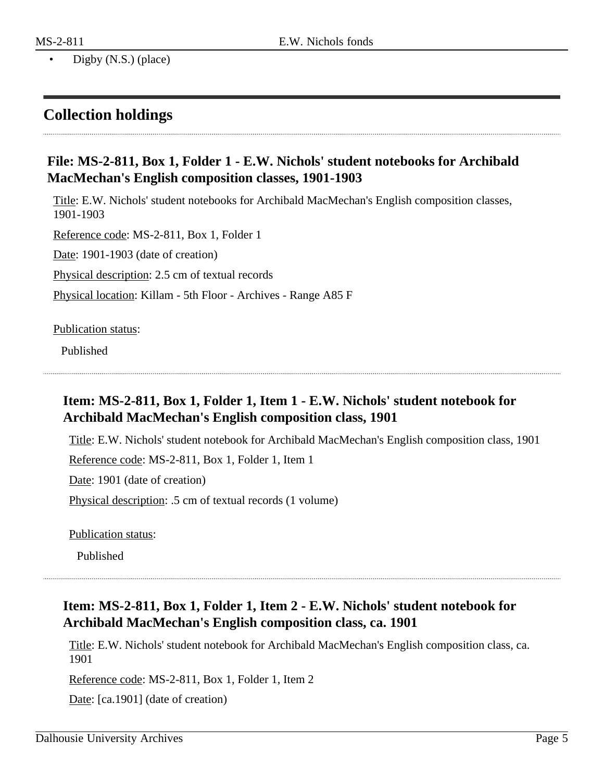## <span id="page-4-0"></span>**Collection holdings**

#### **File: MS-2-811, Box 1, Folder 1 - E.W. Nichols' student notebooks for Archibald MacMechan's English composition classes, 1901-1903**

Title: E.W. Nichols' student notebooks for Archibald MacMechan's English composition classes, 1901-1903

Reference code: MS-2-811, Box 1, Folder 1

Date: 1901-1903 (date of creation)

Physical description: 2.5 cm of textual records

Physical location: Killam - 5th Floor - Archives - Range A85 F

Publication status:

Published

## **Item: MS-2-811, Box 1, Folder 1, Item 1 - E.W. Nichols' student notebook for Archibald MacMechan's English composition class, 1901**

Title: E.W. Nichols' student notebook for Archibald MacMechan's English composition class, 1901

Reference code: MS-2-811, Box 1, Folder 1, Item 1

Date: 1901 (date of creation)

Physical description: .5 cm of textual records (1 volume)

Publication status:

Published

## **Item: MS-2-811, Box 1, Folder 1, Item 2 - E.W. Nichols' student notebook for Archibald MacMechan's English composition class, ca. 1901**

Title: E.W. Nichols' student notebook for Archibald MacMechan's English composition class, ca. 1901

Reference code: MS-2-811, Box 1, Folder 1, Item 2

Date: [ca.1901] (date of creation)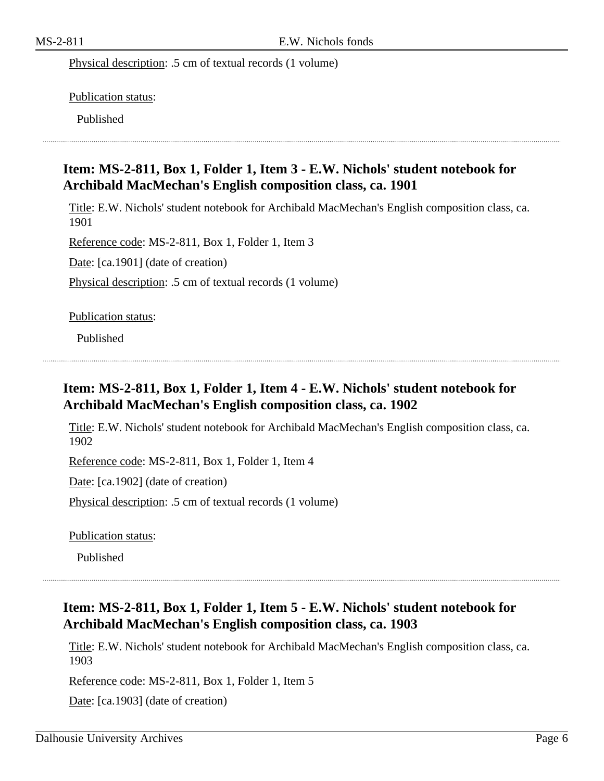Physical description: .5 cm of textual records (1 volume)

Publication status:

Published

#### **Item: MS-2-811, Box 1, Folder 1, Item 3 - E.W. Nichols' student notebook for Archibald MacMechan's English composition class, ca. 1901**

Title: E.W. Nichols' student notebook for Archibald MacMechan's English composition class, ca. 1901

Reference code: MS-2-811, Box 1, Folder 1, Item 3

Date: [ca.1901] (date of creation)

Physical description: .5 cm of textual records (1 volume)

Publication status:

Published

#### **Item: MS-2-811, Box 1, Folder 1, Item 4 - E.W. Nichols' student notebook for Archibald MacMechan's English composition class, ca. 1902**

Title: E.W. Nichols' student notebook for Archibald MacMechan's English composition class, ca. 1902

Reference code: MS-2-811, Box 1, Folder 1, Item 4

Date: [ca.1902] (date of creation)

Physical description: .5 cm of textual records (1 volume)

Publication status:

Published

#### **Item: MS-2-811, Box 1, Folder 1, Item 5 - E.W. Nichols' student notebook for Archibald MacMechan's English composition class, ca. 1903**

Title: E.W. Nichols' student notebook for Archibald MacMechan's English composition class, ca. 1903

Reference code: MS-2-811, Box 1, Folder 1, Item 5

Date: [ca.1903] (date of creation)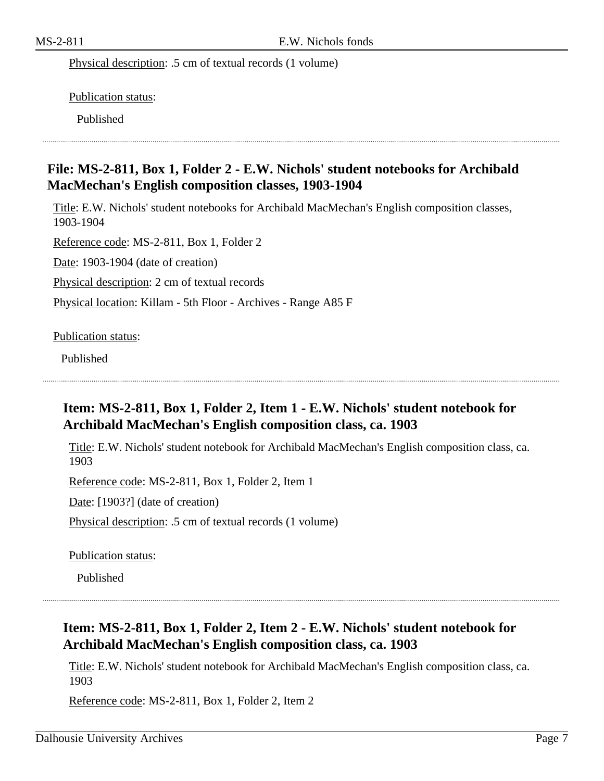Physical description: .5 cm of textual records (1 volume)

Publication status:

Published

#### **File: MS-2-811, Box 1, Folder 2 - E.W. Nichols' student notebooks for Archibald MacMechan's English composition classes, 1903-1904**

Title: E.W. Nichols' student notebooks for Archibald MacMechan's English composition classes, 1903-1904

Reference code: MS-2-811, Box 1, Folder 2

Date: 1903-1904 (date of creation)

Physical description: 2 cm of textual records

Physical location: Killam - 5th Floor - Archives - Range A85 F

Publication status:

Published

## **Item: MS-2-811, Box 1, Folder 2, Item 1 - E.W. Nichols' student notebook for Archibald MacMechan's English composition class, ca. 1903**

Title: E.W. Nichols' student notebook for Archibald MacMechan's English composition class, ca. 1903

Reference code: MS-2-811, Box 1, Folder 2, Item 1

Date: [1903?] (date of creation)

Physical description: .5 cm of textual records (1 volume)

Publication status:

Published

## **Item: MS-2-811, Box 1, Folder 2, Item 2 - E.W. Nichols' student notebook for Archibald MacMechan's English composition class, ca. 1903**

Title: E.W. Nichols' student notebook for Archibald MacMechan's English composition class, ca. 1903

Reference code: MS-2-811, Box 1, Folder 2, Item 2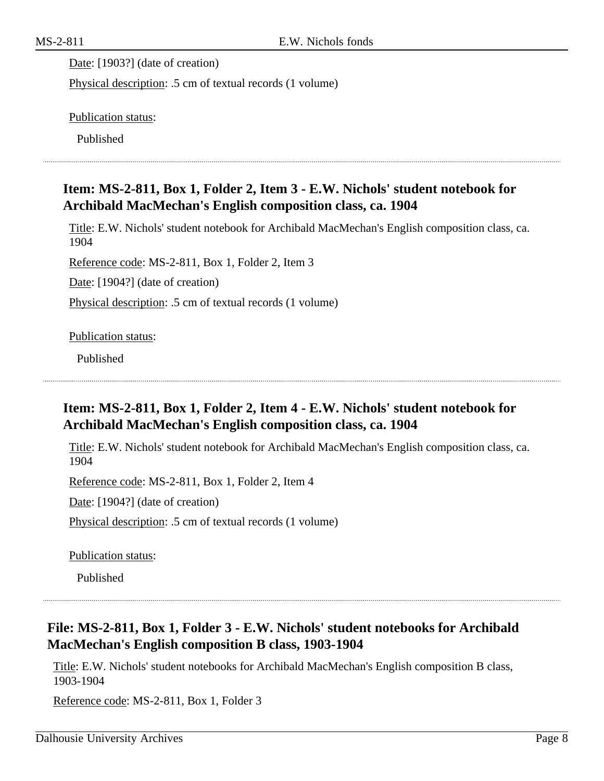Date: [1903?] (date of creation)

Physical description: .5 cm of textual records (1 volume)

Publication status:

Published

#### **Item: MS-2-811, Box 1, Folder 2, Item 3 - E.W. Nichols' student notebook for Archibald MacMechan's English composition class, ca. 1904**

Title: E.W. Nichols' student notebook for Archibald MacMechan's English composition class, ca. 1904

Reference code: MS-2-811, Box 1, Folder 2, Item 3

Date: [1904?] (date of creation)

Physical description: .5 cm of textual records (1 volume)

Publication status:

Published

## **Item: MS-2-811, Box 1, Folder 2, Item 4 - E.W. Nichols' student notebook for Archibald MacMechan's English composition class, ca. 1904**

Title: E.W. Nichols' student notebook for Archibald MacMechan's English composition class, ca. 1904

Reference code: MS-2-811, Box 1, Folder 2, Item 4

Date: [1904?] (date of creation)

Physical description: .5 cm of textual records (1 volume)

Publication status:

Published

#### **File: MS-2-811, Box 1, Folder 3 - E.W. Nichols' student notebooks for Archibald MacMechan's English composition B class, 1903-1904**

Title: E.W. Nichols' student notebooks for Archibald MacMechan's English composition B class, 1903-1904

Reference code: MS-2-811, Box 1, Folder 3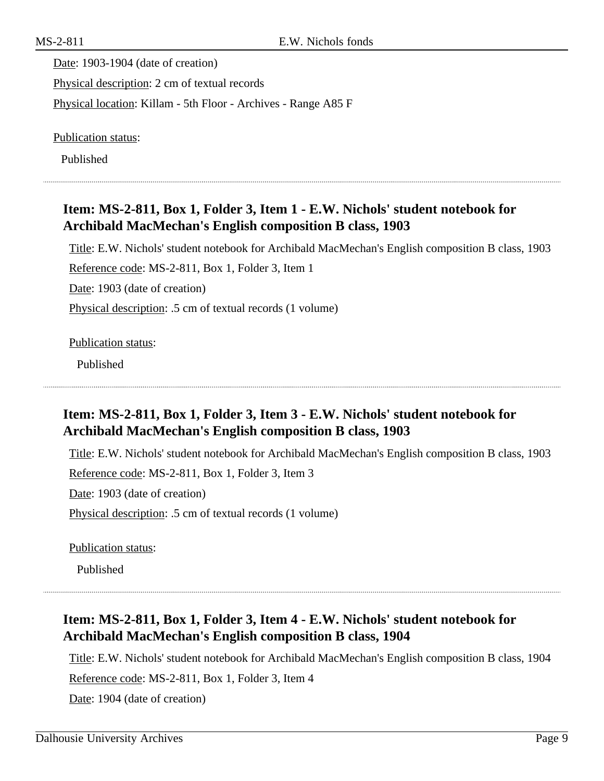Date: 1903-1904 (date of creation) Physical description: 2 cm of textual records Physical location: Killam - 5th Floor - Archives - Range A85 F

Publication status:

Published

#### **Item: MS-2-811, Box 1, Folder 3, Item 1 - E.W. Nichols' student notebook for Archibald MacMechan's English composition B class, 1903**

Title: E.W. Nichols' student notebook for Archibald MacMechan's English composition B class, 1903 Reference code: MS-2-811, Box 1, Folder 3, Item 1 Date: 1903 (date of creation) Physical description: .5 cm of textual records (1 volume)

#### Publication status:

Published

## **Item: MS-2-811, Box 1, Folder 3, Item 3 - E.W. Nichols' student notebook for Archibald MacMechan's English composition B class, 1903**

Title: E.W. Nichols' student notebook for Archibald MacMechan's English composition B class, 1903

Reference code: MS-2-811, Box 1, Folder 3, Item 3

Date: 1903 (date of creation)

Physical description: .5 cm of textual records (1 volume)

Publication status:

Published

## **Item: MS-2-811, Box 1, Folder 3, Item 4 - E.W. Nichols' student notebook for Archibald MacMechan's English composition B class, 1904**

Title: E.W. Nichols' student notebook for Archibald MacMechan's English composition B class, 1904

Reference code: MS-2-811, Box 1, Folder 3, Item 4

Date: 1904 (date of creation)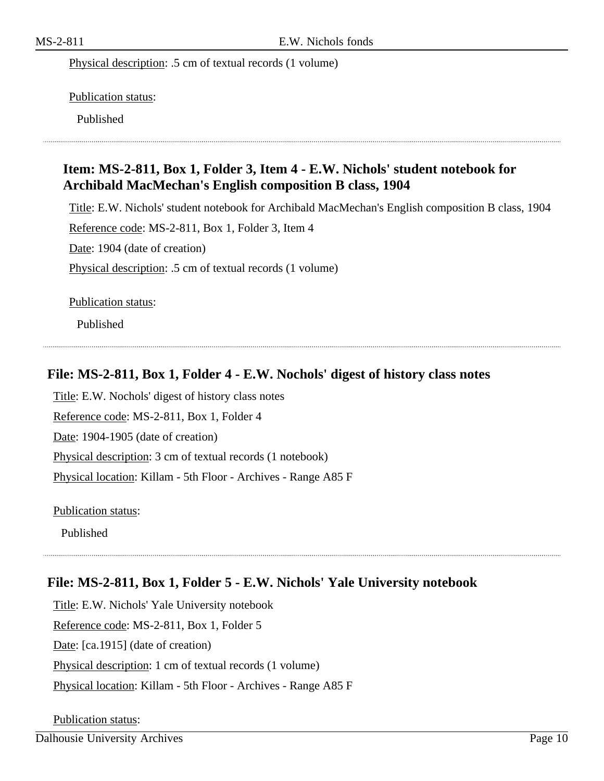Physical description: .5 cm of textual records (1 volume)

Publication status:

Published

#### **Item: MS-2-811, Box 1, Folder 3, Item 4 - E.W. Nichols' student notebook for Archibald MacMechan's English composition B class, 1904**

Title: E.W. Nichols' student notebook for Archibald MacMechan's English composition B class, 1904 Reference code: MS-2-811, Box 1, Folder 3, Item 4 Date: 1904 (date of creation) Physical description: .5 cm of textual records (1 volume)

Publication status:

Published

#### **File: MS-2-811, Box 1, Folder 4 - E.W. Nochols' digest of history class notes**

Title: E.W. Nochols' digest of history class notes Reference code: MS-2-811, Box 1, Folder 4 Date: 1904-1905 (date of creation) Physical description: 3 cm of textual records (1 notebook) Physical location: Killam - 5th Floor - Archives - Range A85 F

Publication status:

Published

#### **File: MS-2-811, Box 1, Folder 5 - E.W. Nichols' Yale University notebook**

Title: E.W. Nichols' Yale University notebook Reference code: MS-2-811, Box 1, Folder 5 Date: [ca.1915] (date of creation) Physical description: 1 cm of textual records (1 volume) Physical location: Killam - 5th Floor - Archives - Range A85 F

Publication status: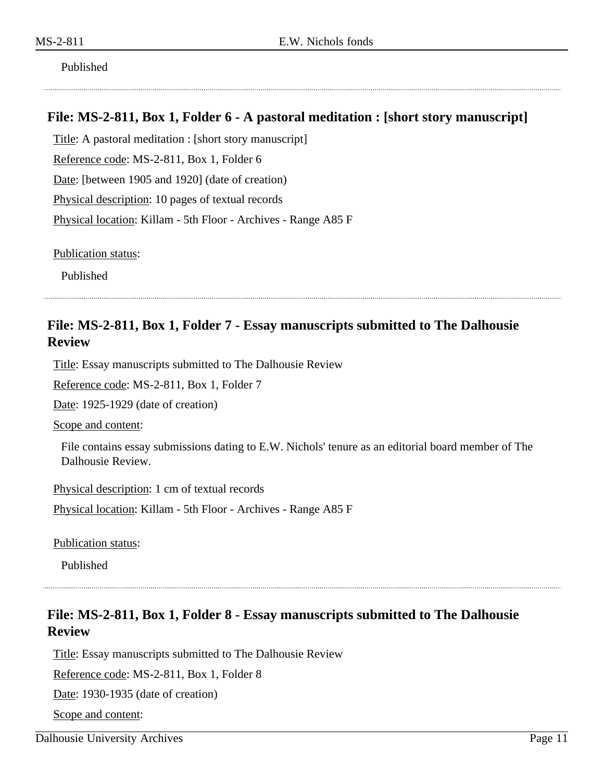Published

#### **File: MS-2-811, Box 1, Folder 6 - A pastoral meditation : [short story manuscript]**

Title: A pastoral meditation : [short story manuscript] Reference code: MS-2-811, Box 1, Folder 6 Date: [between 1905 and 1920] (date of creation) Physical description: 10 pages of textual records Physical location: Killam - 5th Floor - Archives - Range A85 F

Publication status:

Published

#### **File: MS-2-811, Box 1, Folder 7 - Essay manuscripts submitted to The Dalhousie Review**

Title: Essay manuscripts submitted to The Dalhousie Review

Reference code: MS-2-811, Box 1, Folder 7

Date: 1925-1929 (date of creation)

Scope and content:

File contains essay submissions dating to E.W. Nichols' tenure as an editorial board member of The Dalhousie Review.

Physical description: 1 cm of textual records

Physical location: Killam - 5th Floor - Archives - Range A85 F

Publication status:

Published

#### **File: MS-2-811, Box 1, Folder 8 - Essay manuscripts submitted to The Dalhousie Review**

Title: Essay manuscripts submitted to The Dalhousie Review

Reference code: MS-2-811, Box 1, Folder 8

Date: 1930-1935 (date of creation)

Scope and content:

Dalhousie University Archives Page 11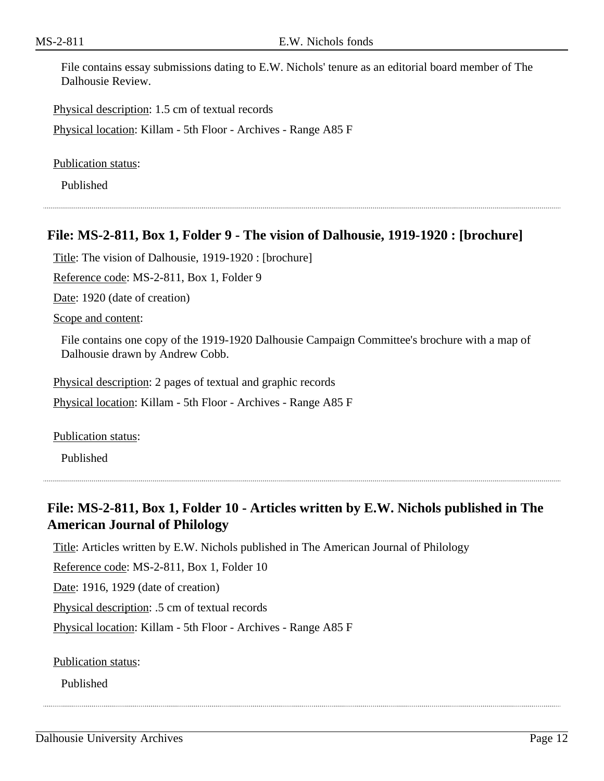File contains essay submissions dating to E.W. Nichols' tenure as an editorial board member of The Dalhousie Review.

Physical description: 1.5 cm of textual records

Physical location: Killam - 5th Floor - Archives - Range A85 F

Publication status:

Published

#### **File: MS-2-811, Box 1, Folder 9 - The vision of Dalhousie, 1919-1920 : [brochure]**

Title: The vision of Dalhousie, 1919-1920 : [brochure]

Reference code: MS-2-811, Box 1, Folder 9

Date: 1920 (date of creation)

Scope and content:

File contains one copy of the 1919-1920 Dalhousie Campaign Committee's brochure with a map of Dalhousie drawn by Andrew Cobb.

Physical description: 2 pages of textual and graphic records

Physical location: Killam - 5th Floor - Archives - Range A85 F

Publication status:

Published

## **File: MS-2-811, Box 1, Folder 10 - Articles written by E.W. Nichols published in The American Journal of Philology**

Title: Articles written by E.W. Nichols published in The American Journal of Philology

Reference code: MS-2-811, Box 1, Folder 10

Date: 1916, 1929 (date of creation)

Physical description: .5 cm of textual records

Physical location: Killam - 5th Floor - Archives - Range A85 F

Publication status:

Published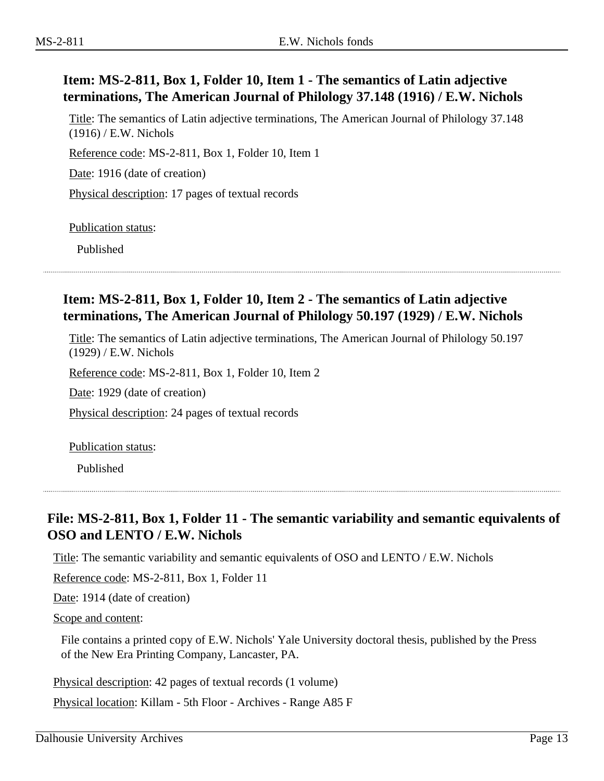## **Item: MS-2-811, Box 1, Folder 10, Item 1 - The semantics of Latin adjective terminations, The American Journal of Philology 37.148 (1916) / E.W. Nichols**

Title: The semantics of Latin adjective terminations, The American Journal of Philology 37.148 (1916) / E.W. Nichols

Reference code: MS-2-811, Box 1, Folder 10, Item 1

Date: 1916 (date of creation)

Physical description: 17 pages of textual records

Publication status:

Published

#### **Item: MS-2-811, Box 1, Folder 10, Item 2 - The semantics of Latin adjective terminations, The American Journal of Philology 50.197 (1929) / E.W. Nichols**

Title: The semantics of Latin adjective terminations, The American Journal of Philology 50.197 (1929) / E.W. Nichols

Reference code: MS-2-811, Box 1, Folder 10, Item 2

Date: 1929 (date of creation)

Physical description: 24 pages of textual records

Publication status:

Published

#### **File: MS-2-811, Box 1, Folder 11 - The semantic variability and semantic equivalents of OSO and LENTO / E.W. Nichols**

Title: The semantic variability and semantic equivalents of OSO and LENTO / E.W. Nichols

Reference code: MS-2-811, Box 1, Folder 11

Date: 1914 (date of creation)

Scope and content:

File contains a printed copy of E.W. Nichols' Yale University doctoral thesis, published by the Press of the New Era Printing Company, Lancaster, PA.

Physical description: 42 pages of textual records (1 volume)

Physical location: Killam - 5th Floor - Archives - Range A85 F